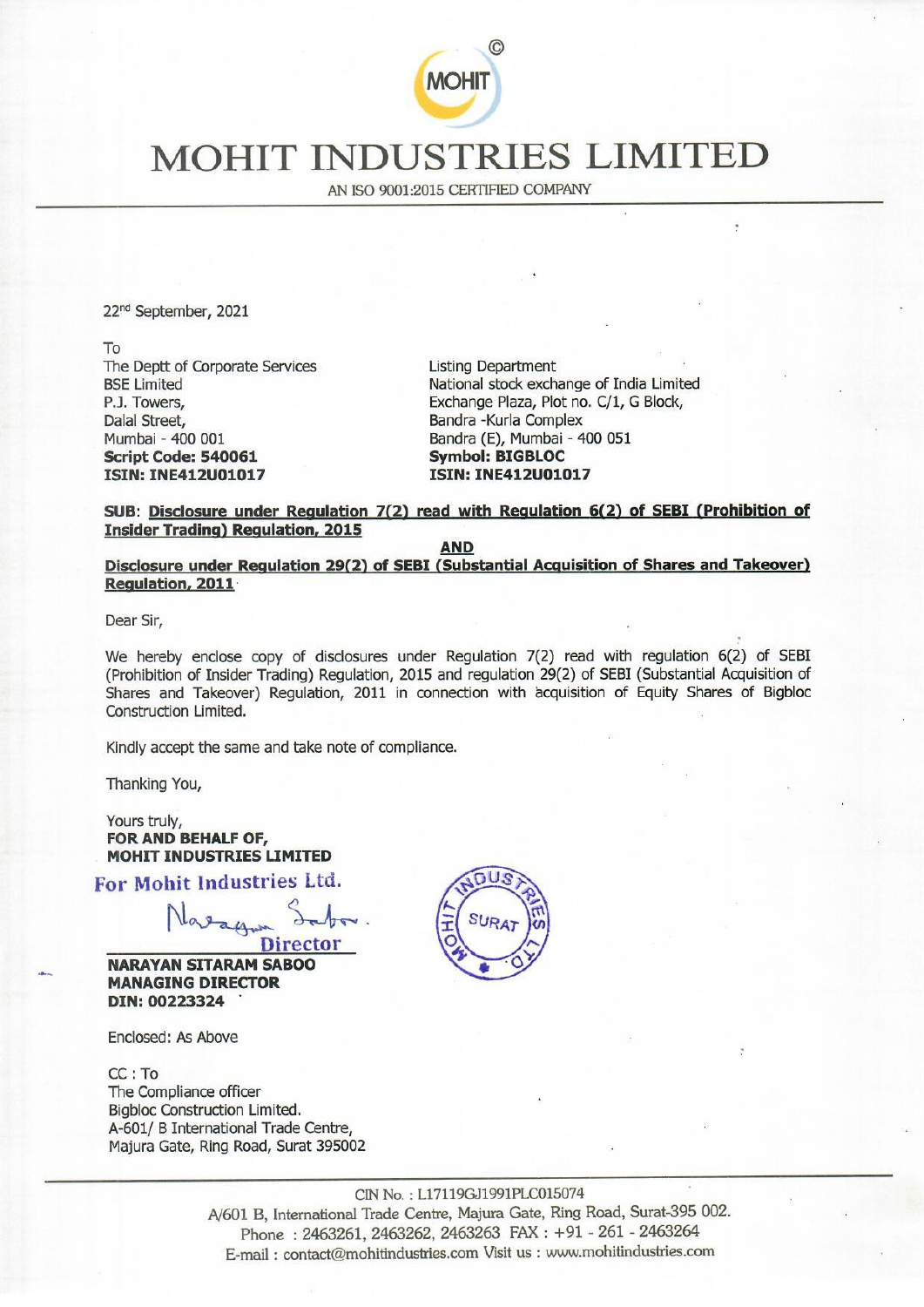

## MOHIT INDUSTRIES LIMITE MOHIT INDUS

AN ISO 9001:2015 CERTIFIED COMPANY

22<sup>nd</sup> September, 2021

To The Deptt of Corporate Services **Listing Department** Dalal Street, **Bandra -Kurla Complex** Mumbai - 400 001 Bandra (E), Mumbai - 400 051 Script Code: 540061 Symbol: BIGBLOC ISIN: INE412U01017 ISIN: INE412U01017 To<br>
The Deptt of Corporate Services<br>
BSE Limited<br>
B.J. Towers,<br>
Dalal Street,<br>
Dalal Street,<br>
Dalal Street,<br>
Mumbai -400 001<br>
Script Code: 540061<br>
Script Code: 540061<br>
ISIN: INE412001017<br>
SUB: <u>Disclosure under Regulation</u>

BSE Limited National stock exchange of India Limited P.J. Towers, The Community Exchange Plaza, Plot no. C/1, G Block,

## SUB: Disclosure under Regulation 7(2) read with Regulation 6(2) of SEBI (Prohibition of **Insider Trading) Regulation, 2015**

AND<br>Disclosure under Regulation 29(2) of SEBI (Substantial Acquisition of Shares and Takeover) Regulation, 2011

Dear Sir,

We hereby enclose copy of disclosures under Regulation 7(2) read with regulation 6(2) of SEBI (Prohibition of Insider Trading) Regulation, 2015 and regulation 29(2) of SEBI (Substantial Acquisition of Shares and Takeover) Regulation, 2011 in connection with acquisition of Equity Shares of Bigbloc Construction Limited.

Kindly accept the same and take note of compliance.

Thanking You,

Yours truly, FOR AND BEHALF OF, MOHIT INDUSTRIES LIMITED

For Mohit Industries Ltd.

Director

NARAYAN SITARAM SABOO MANAGING DIRECTOR DIN: 00223324

Enclosed: As Above

CC: To The Compliance officer Bigbloc Construction Limited. A-601/ B International Trade Centre, Majura Gate, Ring Road, Surat 395002



7119GJ19<br>tre, Majui<br>, 246326<br>es.com V CIN No. : L17119GJ1991PLC015074 A/601 B, International Trade Centre, Majura Gate, Ring Road, Surat-395 002. Phone : 2463261, 2463262, 2463263 FAX : +91 - 261 - 2463264 E-mail : contact@mohitindustries.com Visit us : www.mohitindustries.com